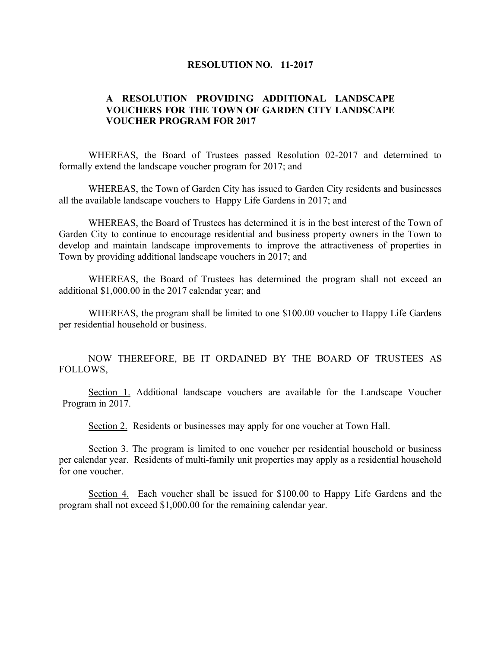## **RESOLUTION NO. 11-2017**

## **A RESOLUTION PROVIDING ADDITIONAL LANDSCAPE VOUCHERS FOR THE TOWN OF GARDEN CITY LANDSCAPE VOUCHER PROGRAM FOR 2017**

WHEREAS, the Board of Trustees passed Resolution 02-2017 and determined to formally extend the landscape voucher program for 2017; and

WHEREAS, the Town of Garden City has issued to Garden City residents and businesses all the available landscape vouchers to Happy Life Gardens in 2017; and

WHEREAS, the Board of Trustees has determined it is in the best interest of the Town of Garden City to continue to encourage residential and business property owners in the Town to develop and maintain landscape improvements to improve the attractiveness of properties in Town by providing additional landscape vouchers in 2017; and

WHEREAS, the Board of Trustees has determined the program shall not exceed an additional \$1,000.00 in the 2017 calendar year; and

WHEREAS, the program shall be limited to one \$100.00 voucher to Happy Life Gardens per residential household or business.

NOW THEREFORE, BE IT ORDAINED BY THE BOARD OF TRUSTEES AS FOLLOWS,

Section 1. Additional landscape vouchers are available for the Landscape Voucher Program in 2017.

Section 2. Residents or businesses may apply for one voucher at Town Hall.

Section 3. The program is limited to one voucher per residential household or business per calendar year. Residents of multi-family unit properties may apply as a residential household for one voucher.

Section 4. Each voucher shall be issued for \$100.00 to Happy Life Gardens and the program shall not exceed \$1,000.00 for the remaining calendar year.